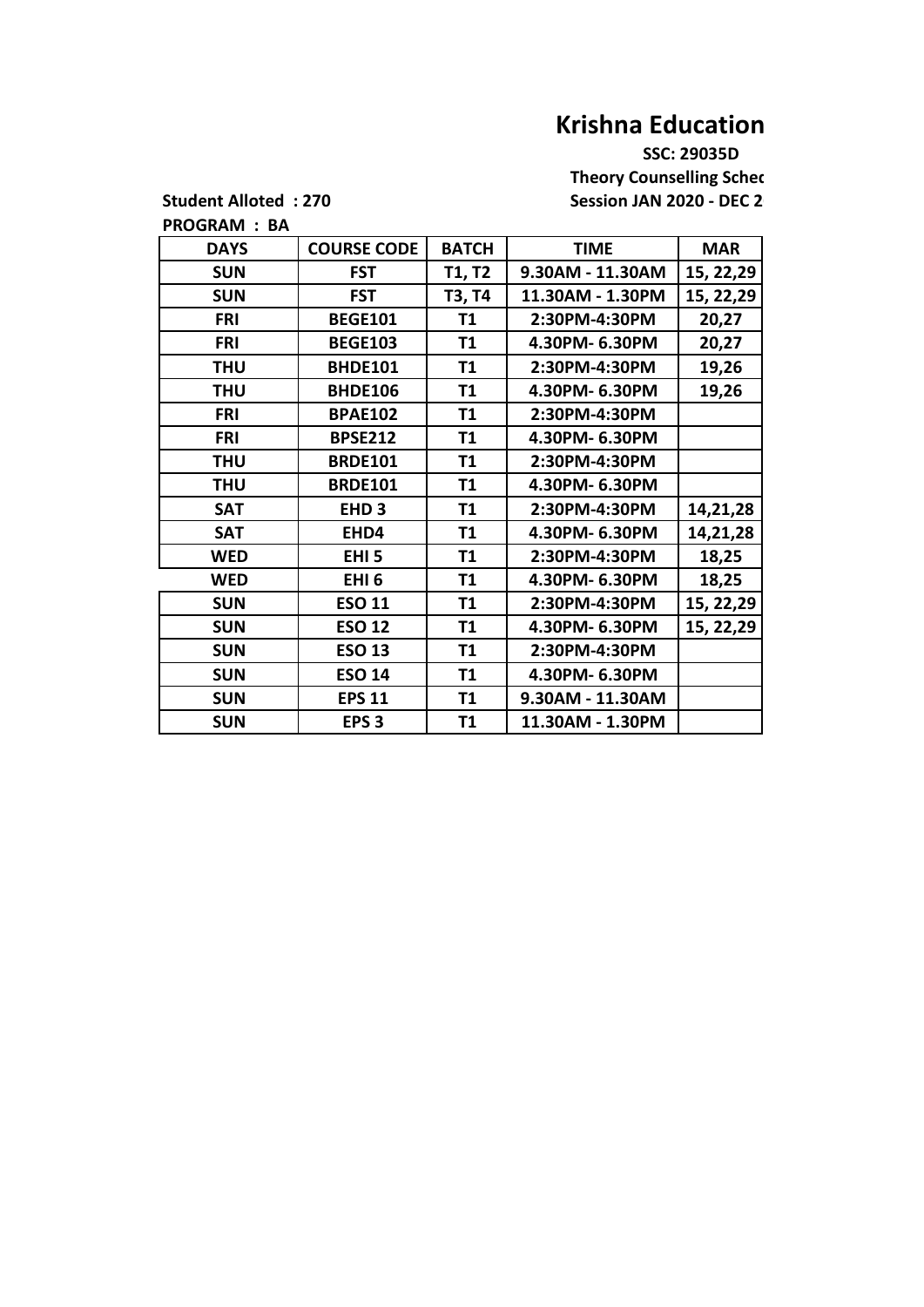## **Krishna Education**

 **SSC: 29035D Theory Counselling Sched** Student Alloted : 270 Session JAN 2020 - DEC 2

**PROGRAM : BA**

| <b>DAYS</b> | <b>COURSE CODE</b> | <b>BATCH</b>  | <b>TIME</b>      | <b>MAR</b> |
|-------------|--------------------|---------------|------------------|------------|
| <b>SUN</b>  | <b>FST</b>         | <b>T1, T2</b> | 9.30AM - 11.30AM | 15, 22, 29 |
| <b>SUN</b>  | <b>FST</b>         | T3, T4        | 11.30AM - 1.30PM | 15, 22, 29 |
| <b>FRI</b>  | <b>BEGE101</b>     | <b>T1</b>     | 2:30PM-4:30PM    | 20,27      |
| <b>FRI</b>  | <b>BEGE103</b>     | <b>T1</b>     | 4.30PM- 6.30PM   | 20,27      |
| <b>THU</b>  | <b>BHDE101</b>     | <b>T1</b>     | 2:30PM-4:30PM    | 19,26      |
| <b>THU</b>  | <b>BHDE106</b>     | T1            | 4.30PM- 6.30PM   | 19,26      |
| <b>FRI</b>  | <b>BPAE102</b>     | <b>T1</b>     | 2:30PM-4:30PM    |            |
| <b>FRI</b>  | <b>BPSE212</b>     | <b>T1</b>     | 4.30PM- 6.30PM   |            |
| <b>THU</b>  | <b>BRDE101</b>     | <b>T1</b>     | 2:30PM-4:30PM    |            |
| <b>THU</b>  | <b>BRDE101</b>     | <b>T1</b>     | 4.30PM- 6.30PM   |            |
| <b>SAT</b>  | EHD <sub>3</sub>   | T1            | 2:30PM-4:30PM    | 14,21,28   |
| <b>SAT</b>  | EHD4               | <b>T1</b>     | 4.30PM- 6.30PM   | 14,21,28   |
| <b>WED</b>  | EHI <sub>5</sub>   | <b>T1</b>     | 2:30PM-4:30PM    | 18,25      |
| <b>WED</b>  | EHI <sub>6</sub>   | <b>T1</b>     | 4.30PM- 6.30PM   | 18,25      |
| <b>SUN</b>  | <b>ESO 11</b>      | T1            | 2:30PM-4:30PM    | 15, 22, 29 |
| <b>SUN</b>  | <b>ESO 12</b>      | T1            | 4.30PM- 6.30PM   | 15, 22, 29 |
| <b>SUN</b>  | <b>ESO 13</b>      | <b>T1</b>     | 2:30PM-4:30PM    |            |
| <b>SUN</b>  | <b>ESO 14</b>      | T1            | 4.30PM- 6.30PM   |            |
| <b>SUN</b>  | <b>EPS 11</b>      | <b>T1</b>     | 9.30AM - 11.30AM |            |
| <b>SUN</b>  | EPS <sub>3</sub>   | T1            | 11.30AM - 1.30PM |            |